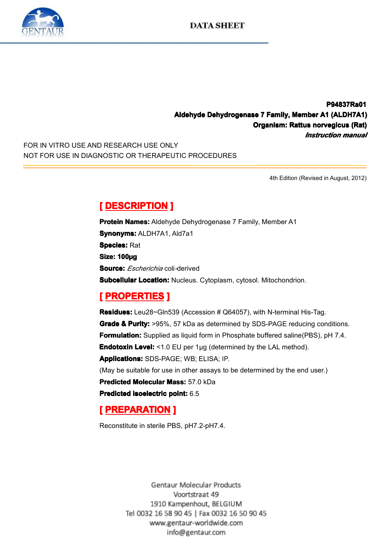

# **P94837Ra01 P94837Ra01** Aldehyde Dehydrogenase 7 Family, Member A1 (ALDH7A1)<br>Organism: Rattus norvegicus (Rat)<br>*Instruction manual*<br>NOT FOR USE IN DIAGNOSTIC OR THERAPEUTIC PROCEDURES **Organism: Rattus anism: norvegicus usnorvegicus (Rat) vegicus** *Instruction manual*<br> **4th Edition (Revised in August, 2012)**

FOR IN VITRO USE AND RESEARCH USE ONLY NOT FOR USE IN DIAGNOSTIC OR THERAPEUTIC PROCEDURES

4th Edition (Revised in August, 2012)

**Example Bene Concerns Protein Names: Aldehy<br>
<b>Synonyms: ALDH7A1,<br>
Species: Rat<br>
Size: 100µg<br>
Source:** *Escherichio***.com Protein Names:** Aldehyde Dehydrogenase 7 Family, Member A1<br>**Synonyms:** ALDH7A1, Ald7a1<br>**Species:** Rat<br>**Size: 100ug Synonyms: ALDH7A1, Ald7a1 Species:** Rat Size: 100µg<br>Size: 100µg<br>Subcellular<br> **[** PROPE **Source:** *Escherichia* coli*-*derived

**Subcellular Location:** Nucleus. Cytoplasm, cytosol. Mitochondrion.<br> **[ PROPERTIES ]**<br> **Residues:** Leu28~Gln539 (Accession # Q64057), with N-terminal His-Taq. **Experiment Excelence III**<br> **Residues: Leu28~GIni<br>
Grade & Purity: >95%<br>
Formulation: Supplied<br>
Endotoxin Level: <1.0<br>
Anniloations: SDS BA Residues:** Leu28~Gln539 (Accession # Q64057), with N-terminal His-Tag.<br> **Grade & Purity:** >95%, 57 kDa as determined by SDS-PAGE reducing con<br> **Formulation:** Supplied as liquid form in Phosphate buffered saline(PBS), p<br> **Grade & Purity:** >95%, 57 kDa as determined by SDS-PAGE reducing conditions.<br> **Formulation:** Supplied as liquid form in Phosphate buffered saline(PBS), pH 7.4.<br> **Endotoxin Level:** <1.0 EU per 1µg (determined by the LAL me **Formulation:** Supplied as liquid form in Phosphate buffered saline(PBS), pH 7.4.<br> **Endotoxin Level:** <1.0 EU per 1µg (determined by the LAL method).<br> **Applications:** SDS-PAGE; WB; ELISA; IP.<br>
(May be suitable for use in o **Endotoxin Level:** <1.0 EU per 1µg (determined by the LAL method). **Applications:**SDS-PAGE; WB; ELISA; IP. (May be suitable for use in other assays to be determined by the end user.)<br> **Predicted Molecular Mass:** 57.0 kDa<br> **Predicted isoelectric point:** 6.5<br>
[**PREPARATION**] **Predicted Molecular Mass:** 57.0 kDa<br>**Predicted isoelectric point:** 6.5<br>**[ PREPARATION ]**<br>Reconstitute in sterile PBS, pH7.2-pH **Predicted isoelectric point:** 6.5<br> **[PREPARATION ]**<br>
Reconstitute in sterile PBS, pH7.

# **[ PREPARATION** ]<br>Reconstitute in sterile PB

Reconstitute in sterile PBS, pH7.2-pH7.4.

Gentaur Molecular Products Voortstraat 49 1910 Kampenhout, BELGIUM Tel 0032 16 58 90 45 | Fax 0032 16 50 90 45 www.gentaur-worldwide.com info@gentaur.com